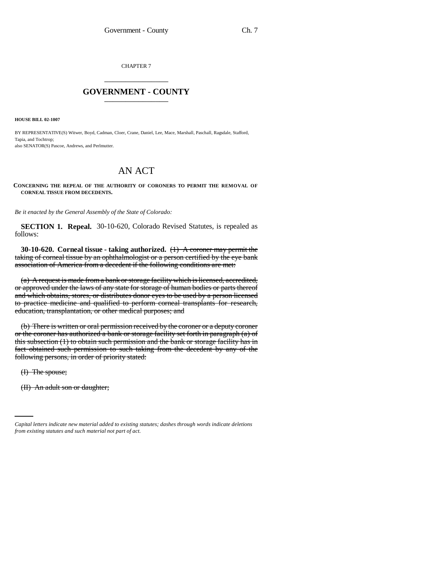CHAPTER 7 \_\_\_\_\_\_\_\_\_\_\_\_\_\_\_

## **GOVERNMENT - COUNTY** \_\_\_\_\_\_\_\_\_\_\_\_\_\_\_

**HOUSE BILL 02-1007**

BY REPRESENTATIVE(S) Witwer, Boyd, Cadman, Cloer, Crane, Daniel, Lee, Mace, Marshall, Paschall, Ragsdale, Stafford, Tapia, and Tochtrop; also SENATOR(S) Pascoe, Andrews, and Perlmutter.

## AN ACT

**CONCERNING THE REPEAL OF THE AUTHORITY OF CORONERS TO PERMIT THE REMOVAL OF CORNEAL TISSUE FROM DECEDENTS.**

*Be it enacted by the General Assembly of the State of Colorado:*

**SECTION 1. Repeal.** 30-10-620, Colorado Revised Statutes, is repealed as follows:

**30-10-620. Corneal tissue - taking authorized.** (1) A coroner may permit the taking of corneal tissue by an ophthalmologist or a person certified by the eye bank association of America from a decedent if the following conditions are met:

(a) A request is made from a bank or storage facility which is licensed, accredited, or approved under the laws of any state for storage of human bodies or parts thereof and which obtains, stores, or distributes donor eyes to be used by a person licensed to practice medicine and qualified to perform corneal transplants for research, education, transplantation, or other medical purposes; and

(b) There is written or oral permission received by the coroner or a deputy coroner or the coroner has authorized a bank or storage facility set forth in paragraph (a) of this subsection (1) to obtain such permission and the bank or storage facility has in fact obtained such permission to such taking from the decedent by any of the following persons, in order of priority stated:

(I) The spouse;

(II) An adult son or daughter;

*Capital letters indicate new material added to existing statutes; dashes through words indicate deletions from existing statutes and such material not part of act.*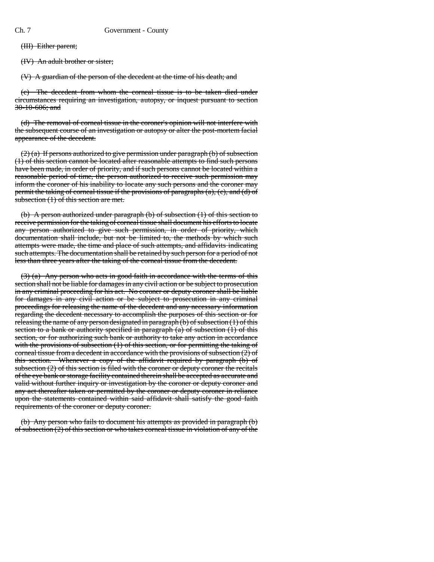(III) Either parent;

(IV) An adult brother or sister;

(V) A guardian of the person of the decedent at the time of his death; and

(c) The decedent from whom the corneal tissue is to be taken died under circumstances requiring an investigation, autopsy, or inquest pursuant to section 30-10-606; and

(d) The removal of corneal tissue in the coroner's opinion will not interfere with the subsequent course of an investigation or autopsy or alter the post-mortem facial appearance of the decedent.

(2) (a) If persons authorized to give permission under paragraph (b) of subsection (1) of this section cannot be located after reasonable attempts to find such persons have been made, in order of priority, and if such persons cannot be located within a reasonable period of time, the person authorized to receive such permission may inform the coroner of his inability to locate any such persons and the coroner may permit the taking of corneal tissue if the provisions of paragraphs (a), (c), and (d) of subsection (1) of this section are met.

(b) A person authorized under paragraph (b) of subsection (1) of this section to receive permission for the taking of corneal tissue shall document his efforts to locate any person authorized to give such permission, in order of priority, which documentation shall include, but not be limited to, the methods by which such attempts were made, the time and place of such attempts, and affidavits indicating such attempts. The documentation shall be retained by such person for a period of not less than three years after the taking of the corneal tissue from the decedent.

(3) (a) Any person who acts in good faith in accordance with the terms of this section shall not be liable for damages in any civil action or be subject to prosecution in any criminal proceeding for his act. No coroner or deputy coroner shall be liable for damages in any civil action or be subject to prosecution in any criminal proceedings for releasing the name of the decedent and any necessary information regarding the decedent necessary to accomplish the purposes of this section or for releasing the name of any person designated in paragraph (b) of subsection (1) of this section to a bank or authority specified in paragraph  $(a)$  of subsection  $(1)$  of this section, or for authorizing such bank or authority to take any action in accordance with the provisions of subsection (1) of this section, or for permitting the taking of corneal tissue from a decedent in accordance with the provisions of subsection (2) of this section. Whenever a copy of the affidavit required by paragraph (b) of subsection  $(2)$  of this section is filed with the coroner or deputy coroner the recitals of the eye bank or storage facility contained therein shall be accepted as accurate and valid without further inquiry or investigation by the coroner or deputy coroner and any act thereafter taken or permitted by the coroner or deputy coroner in reliance upon the statements contained within said affidavit shall satisfy the good faith requirements of the coroner or deputy coroner.

(b) Any person who fails to document his attempts as provided in paragraph (b) of subsection (2) of this section or who takes corneal tissue in violation of any of the